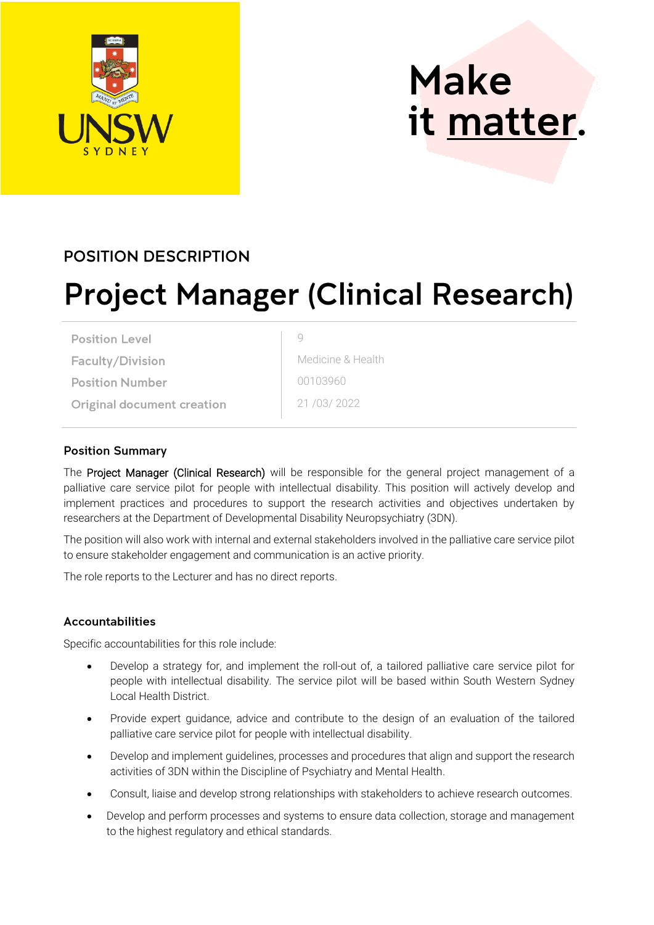

# **Make** it matter.

### **POSITION DESCRIPTION**

## **Project Manager (Clinical Research)**

9

**Position Level** 

**Faculty/Division** 

**Position Number** 

**Original document creation** 

Medicine & Health 00103960 21 /03/ 2022

#### **Position Summary**

The Project Manager (Clinical Research) will be responsible for the general project management of a palliative care service pilot for people with intellectual disability. This position will actively develop and implement practices and procedures to support the research activities and objectives undertaken by researchers at the Department of Developmental Disability Neuropsychiatry (3DN).

The position will also work with internal and external stakeholders involved in the palliative care service pilot to ensure stakeholder engagement and communication is an active priority.

The role reports to the Lecturer and has no direct reports.

#### **Accountabilities**

Specific accountabilities for this role include:

- Develop a strategy for, and implement the roll-out of, a tailored palliative care service pilot for people with intellectual disability. The service pilot will be based within South Western Sydney Local Health District.
- Provide expert guidance, advice and contribute to the design of an evaluation of the tailored palliative care service pilot for people with intellectual disability.
- Develop and implement guidelines, processes and procedures that align and support the research activities of 3DN within the Discipline of Psychiatry and Mental Health.
- Consult, liaise and develop strong relationships with stakeholders to achieve research outcomes.
- Develop and perform processes and systems to ensure data collection, storage and management to the highest regulatory and ethical standards.